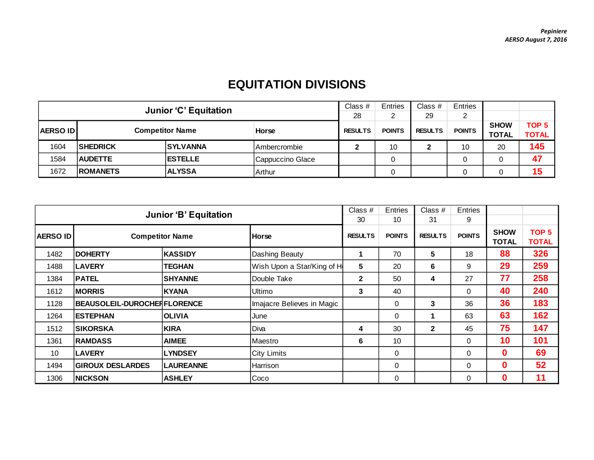## **EQUITATION DIVISIONS**

|                                           | <b>Junior 'C' Equitation</b> |                 |                     |                |               | Class $#$      | Entries       |              |                  |
|-------------------------------------------|------------------------------|-----------------|---------------------|----------------|---------------|----------------|---------------|--------------|------------------|
|                                           |                              |                 |                     |                |               | 29             | າ             |              |                  |
|                                           |                              |                 |                     | <b>RESULTS</b> | <b>POINTS</b> | <b>RESULTS</b> | <b>POINTS</b> | <b>SHOW</b>  | TOP <sub>5</sub> |
| <b>Competitor Name</b><br><b>AERSO ID</b> |                              |                 | <b>Horse</b>        |                |               |                |               | <b>TOTAL</b> | <b>TOTAL</b>     |
| 1604                                      | <b>SHEDRICK</b>              | <b>SYLVANNA</b> | <b>Ambercrombie</b> |                | 10            | 2              | 10            | 20           | 145              |
| 1584                                      | <b>AUDETTE</b>               | <b>IESTELLE</b> | Cappuccino Glace    |                |               |                | 0             |              | 47               |
| 1672                                      | <b>ROMANETS</b>              | <b>ALYSSA</b>   | l Arthur            |                |               |                | ⌒             |              | 15               |

|                                           | <b>Junior 'B' Equitation</b>       |                  |                            |                |               | Class $#$<br>31 | <b>Entries</b><br>9 |                             |                                  |
|-------------------------------------------|------------------------------------|------------------|----------------------------|----------------|---------------|-----------------|---------------------|-----------------------------|----------------------------------|
| <b>Competitor Name</b><br><b>AERSO ID</b> |                                    |                  | <b>Horse</b>               | <b>RESULTS</b> | <b>POINTS</b> | <b>RESULTS</b>  | <b>POINTS</b>       | <b>SHOW</b><br><b>TOTAL</b> | TOP <sub>5</sub><br><b>TOTAL</b> |
| 1482                                      | <b>DOHERTY</b>                     | <b>KASSIDY</b>   | Dashing Beauty             |                | 70            | 5               | 18                  | 88                          | 326                              |
| 1488                                      | <b>LAVERY</b>                      | <b>TEGHAN</b>    | Wish Upon a Star/King of H | 5              | 20            | 6               | 9                   | 29                          | 259                              |
| 1384                                      | <b>PATEL</b>                       | <b>SHYANNE</b>   | Double Take                | $\mathbf{2}$   | 50            | 4               | 27                  | 77                          | 258                              |
| 1612                                      | <b>MORRIS</b>                      | <b>KYANA</b>     | Ultimo                     | 3              | 40            |                 | $\mathbf{0}$        | 40                          | 240                              |
| 1128                                      | <b>BEAUSOLEIL-DUROCHERFLORENCE</b> |                  | Imajacre Believes in Magic |                | $\mathbf 0$   | 3               | 36                  | 36                          | 183                              |
| 1264                                      | <b>ESTEPHAN</b>                    | <b>OLIVIA</b>    | June                       |                | $\Omega$      | 1               | 63                  | 63                          | 162                              |
| 1512                                      | <b>SIKORSKA</b>                    | <b>KIRA</b>      | Diva                       | 4              | 30            | $\mathbf{2}$    | 45                  | 75                          | 147                              |
| 1361                                      | <b>RAMDASS</b>                     | <b>AIMEE</b>     | <b>Maestro</b>             | 6              | 10            |                 | $\Omega$            | 10                          | 101                              |
| 10                                        | <b>LAVERY</b>                      | <b>LYNDSEY</b>   | <b>City Limits</b>         |                | $\Omega$      |                 | $\mathbf{0}$        | O                           | 69                               |
| 1494                                      | <b>GIROUX DESLARDES</b>            | <b>LAUREANNE</b> | Harrison                   |                | $\mathbf 0$   |                 | $\Omega$            | O                           | 52                               |
| 1306                                      | <b>NICKSON</b>                     | <b>ASHLEY</b>    | Coco                       |                | $\mathbf 0$   |                 | $\mathbf{0}$        | 0                           | 11                               |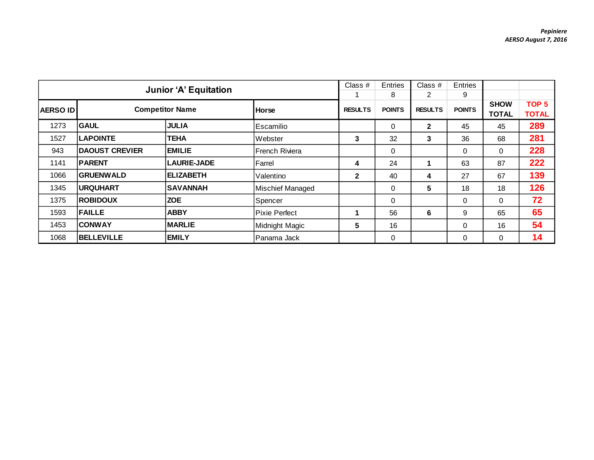|                 | <b>Junior 'A' Equitation</b> |                        |                      |                | Entries       | Class #        | Entries       |                             |                                  |
|-----------------|------------------------------|------------------------|----------------------|----------------|---------------|----------------|---------------|-----------------------------|----------------------------------|
|                 |                              |                        |                      |                | 8             | 2              | 9             |                             |                                  |
| <b>AERSO ID</b> |                              | <b>Competitor Name</b> | <b>Horse</b>         | <b>RESULTS</b> | <b>POINTS</b> | <b>RESULTS</b> | <b>POINTS</b> | <b>SHOW</b><br><b>TOTAL</b> | TOP <sub>5</sub><br><b>TOTAL</b> |
| 1273            | <b>GAUL</b>                  | <b>JULIA</b>           | l Escamilio          |                | $\Omega$      | $\mathbf{2}$   | 45            | 45                          | 289                              |
| 1527            | <b>LAPOINTE</b>              | <b>TEHA</b>            | Webster              | 3              | 32            | 3              | 36            | 68                          | 281                              |
| 943             | <b>DAOUST CREVIER</b>        | <b>EMILIE</b>          | French Riviera       |                | $\mathbf 0$   |                | 0             | $\Omega$                    | 228                              |
| 1141            | <b>PARENT</b>                | <b>LAURIE-JADE</b>     | Farrel               | 4              | 24            |                | 63            | 87                          | 222                              |
| 1066            | <b>GRUENWALD</b>             | <b>ELIZABETH</b>       | Valentino            | $\mathbf{2}$   | 40            | 4              | 27            | 67                          | 139                              |
| 1345            | <b>URQUHART</b>              | <b>SAVANNAH</b>        | Mischief Managed     |                | 0             | 5              | 18            | 18                          | 126                              |
| 1375            | <b>ROBIDOUX</b>              | <b>ZOE</b>             | Spencer              |                | $\Omega$      |                | 0             | $\Omega$                    | 72                               |
| 1593            | <b>FAILLE</b>                | <b>ABBY</b>            | <b>Pixie Perfect</b> |                | 56            | 6              | 9             | 65                          | 65                               |
| 1453            | <b>CONWAY</b>                | <b>MARLIE</b>          | Midnight Magic       | 5              | 16            |                | $\Omega$      | 16                          | 54                               |
| 1068            | <b>BELLEVILLE</b>            | <b>EMILY</b>           | lPanama Jack         |                | $\Omega$      |                | $\Omega$      | 0                           | 14                               |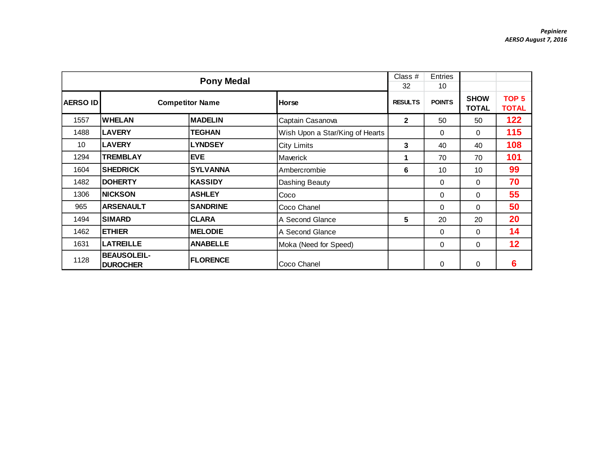|                 |                                       | <b>Pony Medal</b>      |                                 | Class #<br>32  | <b>Entries</b><br>10 |                             |                                  |
|-----------------|---------------------------------------|------------------------|---------------------------------|----------------|----------------------|-----------------------------|----------------------------------|
| <b>AERSO ID</b> |                                       | <b>Competitor Name</b> | Horse                           | <b>RESULTS</b> | <b>POINTS</b>        | <b>SHOW</b><br><b>TOTAL</b> | TOP <sub>5</sub><br><b>TOTAL</b> |
| 1557            | <b>WHELAN</b>                         | <b>MADELIN</b>         | Captain Casanova                | $\mathbf{2}$   | 50                   | 50                          | 122                              |
| 1488            | <b>LAVERY</b>                         | <b>TEGHAN</b>          | Wish Upon a Star/King of Hearts |                | 0                    | 0                           | 115                              |
| 10              | <b>LAVERY</b>                         | <b>LYNDSEY</b>         | City Limits                     | 3              | 40                   | 40                          | 108                              |
| 1294            | <b>TREMBLAY</b>                       | <b>EVE</b>             | <b>Maverick</b>                 | 1              | 70                   | 70                          | 101                              |
| 1604            | <b>SHEDRICK</b>                       | <b>SYLVANNA</b>        | Ambercrombie                    | 6              | 10                   | 10                          | 99                               |
| 1482            | <b>DOHERTY</b>                        | <b>KASSIDY</b>         | Dashing Beauty                  |                | 0                    | 0                           | 70                               |
| 1306            | <b>NICKSON</b>                        | <b>ASHLEY</b>          | Coco                            |                | 0                    | 0                           | 55                               |
| 965             | <b>ARSENAULT</b>                      | <b>SANDRINE</b>        | ICoco Chanel                    |                | 0                    | 0                           | 50                               |
| 1494            | <b>SIMARD</b>                         | <b>CLARA</b>           | A Second Glance                 | 5              | 20                   | 20                          | 20                               |
| 1462            | <b>ETHIER</b>                         | <b>MELODIE</b>         | A Second Glance                 |                | $\Omega$             | 0                           | 14                               |
| 1631            | <b>LATREILLE</b>                      | <b>ANABELLE</b>        | Moka (Need for Speed)           |                | 0                    | 0                           | 12                               |
| 1128            | <b>BEAUSOLEIL-</b><br><b>DUROCHER</b> | <b>FLORENCE</b>        | Coco Chanel                     |                | 0                    | 0                           | 6                                |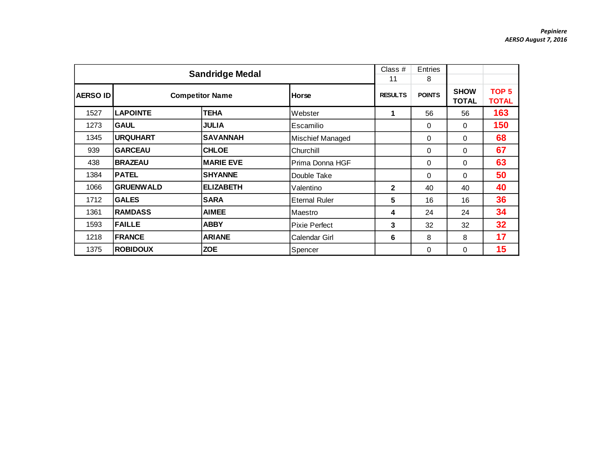|                 |                  | <b>Sandridge Medal</b> |                      | Class #<br>11  | Entries<br>8  |                             |                                  |
|-----------------|------------------|------------------------|----------------------|----------------|---------------|-----------------------------|----------------------------------|
| <b>AERSO ID</b> |                  | <b>Competitor Name</b> | <b>Horse</b>         | <b>RESULTS</b> | <b>POINTS</b> | <b>SHOW</b><br><b>TOTAL</b> | TOP <sub>5</sub><br><b>TOTAL</b> |
| 1527            | <b>LAPOINTE</b>  | <b>TEHA</b>            | Webster              | 1              | 56            | 56                          | 163                              |
| 1273            | <b>GAUL</b>      | <b>JULIA</b>           | Escamilio            |                | 0             | 0                           | 150                              |
| 1345            | <b>URQUHART</b>  | <b>SAVANNAH</b>        | Mischief Managed     |                | 0             | $\Omega$                    | 68                               |
| 939             | <b>GARCEAU</b>   | <b>CHLOE</b>           | Churchill            |                | 0             | 0                           | 67                               |
| 438             | <b>BRAZEAU</b>   | <b>MARIE EVE</b>       | Prima Donna HGF      |                | 0             | 0                           | 63                               |
| 1384            | <b>PATEL</b>     | <b>SHYANNE</b>         | Double Take          |                | 0             | 0                           | 50                               |
| 1066            | <b>GRUENWALD</b> | <b>ELIZABETH</b>       | Valentino            | $\mathbf{2}$   | 40            | 40                          | 40                               |
| 1712            | <b>GALES</b>     | <b>SARA</b>            | <b>Eternal Ruler</b> | 5              | 16            | 16                          | 36                               |
| 1361            | <b>RAMDASS</b>   | <b>AIMEE</b>           | Maestro              | 4              | 24            | 24                          | 34                               |
| 1593            | <b>FAILLE</b>    | <b>ABBY</b>            | Pixie Perfect        | 3              | 32            | 32                          | 32                               |
| 1218            | <b>FRANCE</b>    | <b>ARIANE</b>          | Calendar Girl        | 6              | 8             | 8                           | 17                               |
| 1375            | <b>ROBIDOUX</b>  | Spencer                |                      | 0              | 0             | 15                          |                                  |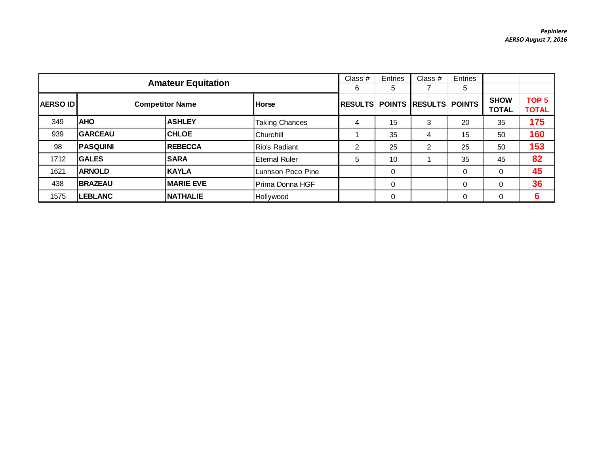|                 | <b>Amateur Equitation</b> |                        | Class $#$<br>6        | Entries<br>5   | Class #  | <b>Entries</b><br>5          |          |                             |                                  |
|-----------------|---------------------------|------------------------|-----------------------|----------------|----------|------------------------------|----------|-----------------------------|----------------------------------|
| <b>AERSO ID</b> |                           | <b>Competitor Name</b> | Horse                 | <b>RESULTS</b> |          | <b>POINTS RESULTS POINTS</b> |          | <b>SHOW</b><br><b>TOTAL</b> | TOP <sub>5</sub><br><b>TOTAL</b> |
| 349             | <b>AHO</b>                | <b>ASHLEY</b>          | <b>Taking Chances</b> | 4              | 15       | 3                            | 20       | 35                          | 175                              |
| 939             | <b>GARCEAU</b>            | <b>CHLOE</b>           | lChurchill_           |                | 35       | 4                            | 15       | 50                          | 160                              |
| 98              | <b>PASQUINI</b>           | <b>REBECCA</b>         | Rio's Radiant         | 2              | 25       | 2                            | 25       | 50                          | 153                              |
| 1712            | <b>GALES</b>              | <b>SARA</b>            | Eternal Ruler         | 5              | 10       |                              | 35       | 45                          | 82                               |
| 1621            | <b>ARNOLD</b>             | <b>KAYLA</b>           | Lunnson Poco Pine     |                | 0        |                              | 0        | $\Omega$                    | 45                               |
| 438             | <b>BRAZEAU</b>            | <b>MARIE EVE</b>       | Prima Donna HGF       |                | 0        |                              | 0        |                             | 36                               |
| 1575            | <b>LEBLANC</b>            | <b>NATHALIE</b>        | Hollywood             |                | $\Omega$ |                              | $\Omega$ |                             | 6                                |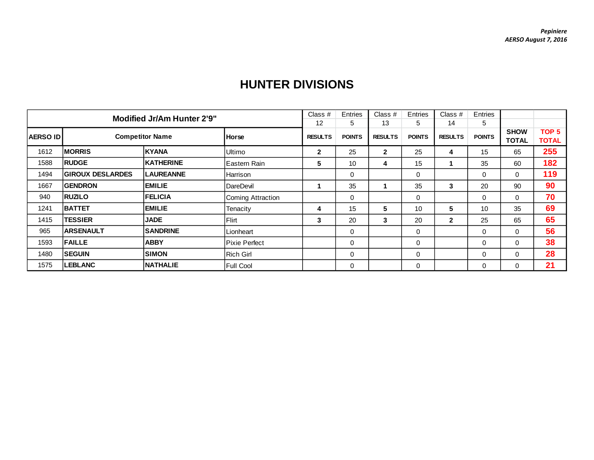|                 | <b>Modified Jr/Am Hunter 2'9"</b>      |                  |                      |                      |                    | Class $#$            | <b>Entries</b>      | Class #              | Entries            |                             |                       |
|-----------------|----------------------------------------|------------------|----------------------|----------------------|--------------------|----------------------|---------------------|----------------------|--------------------|-----------------------------|-----------------------|
| <b>AERSO ID</b> | <b>Competitor Name</b><br><b>Horse</b> |                  |                      | 12<br><b>RESULTS</b> | 5<br><b>POINTS</b> | 13<br><b>RESULTS</b> | 5.<br><b>POINTS</b> | 14<br><b>RESULTS</b> | 5<br><b>POINTS</b> | <b>SHOW</b><br><b>TOTAL</b> | TOP 5<br><b>TOTAL</b> |
| 1612            | <b>MORRIS</b>                          | <b>KYANA</b>     | Ultimo               | $\mathbf{2}$         | 25                 | $\mathbf{2}$         | 25                  | 4                    | 15                 | 65                          | 255                   |
| 1588            | <b>RUDGE</b>                           | <b>KATHERINE</b> | Eastern Rain         | 5                    | 10                 | 4                    | 15                  |                      | 35                 | 60                          | 182                   |
| 1494            | <b>GIROUX DESLARDES</b>                | <b>LAUREANNE</b> | <b>Harrison</b>      |                      | $\Omega$           |                      | $\Omega$            |                      | $\Omega$           | $\Omega$                    | 119                   |
| 1667            | <b>GENDRON</b>                         | <b>EMILIE</b>    | DareDevil            |                      | 35                 |                      | 35                  | 3                    | 20                 | 90                          | 90                    |
| 940             | <b>RUZILO</b>                          | <b>IFELICIA</b>  | Coming Attraction    |                      | $\Omega$           |                      | 0                   |                      | $\Omega$           | $\mathbf 0$                 | 70                    |
| 1241            | <b>BATTET</b>                          | <b>EMILIE</b>    | Tenacity             | 4                    | 15                 | 5                    | 10                  | 5                    | 10                 | 35                          | 69                    |
| 1415            | <b>TESSIER</b>                         | <b>JADE</b>      | <b>Flirt</b>         | 3                    | 20                 | 3                    | 20                  | $\mathbf{2}$         | 25                 | 65                          | 65                    |
| 965             | <b>ARSENAULT</b>                       | <b>SANDRINE</b>  | Lionheart            |                      | $\Omega$           |                      | 0                   |                      | $\Omega$           | 0                           | 56                    |
| 1593            | <b>FAILLE</b>                          | <b>ABBY</b>      | <b>Pixie Perfect</b> |                      | 0                  |                      | 0                   |                      | $\Omega$           | 0                           | 38                    |
| 1480            | <b>SEGUIN</b>                          | <b>SIMON</b>     | <b>Rich Girl</b>     |                      | $\Omega$           |                      | 0                   |                      | $\Omega$           | $\Omega$                    | 28                    |
| 1575            | <b>ILEBLANC</b>                        | <b>INATHALIE</b> | <b>Full Cool</b>     |                      | 0                  |                      | 0                   |                      | 0                  | 0                           | 21                    |

## **HUNTER DIVISIONS**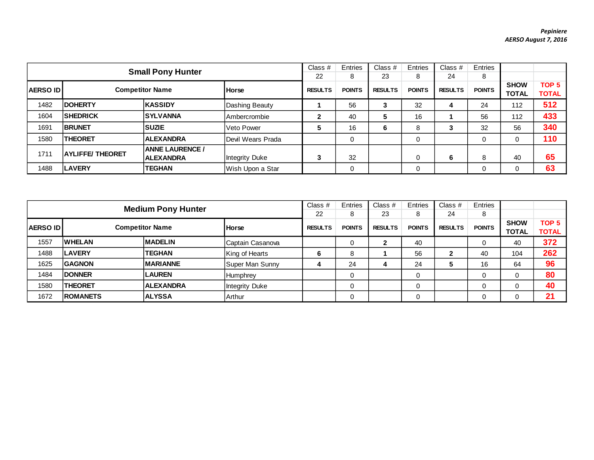|                                           |                          |                        | Class $#$             | Entries       | Class $#$      | Entries       | Class $#$      | Entries       |                             |                                  |     |
|-------------------------------------------|--------------------------|------------------------|-----------------------|---------------|----------------|---------------|----------------|---------------|-----------------------------|----------------------------------|-----|
|                                           | <b>Small Pony Hunter</b> |                        |                       | 22            | 8              | 23            | 8              | 24            | 8                           |                                  |     |
| <b>Competitor Name</b><br><b>AERSO ID</b> |                          | <b>Horse</b>           | <b>RESULTS</b>        | <b>POINTS</b> | <b>RESULTS</b> | <b>POINTS</b> | <b>RESULTS</b> | <b>POINTS</b> | <b>SHOW</b><br><b>TOTAL</b> | TOP <sub>5</sub><br><b>TOTAL</b> |     |
| 1482                                      | <b>IDOHERTY</b>          | <b>KASSIDY</b>         | Dashing Beauty        |               | 56             | 3             | 32             | 4             | 24                          | 112                              | 512 |
| 1604                                      | <b>SHEDRICK</b>          | <b>SYLVANNA</b>        | <b>Ambercrombie</b>   | 2             | 40             | 5             | 16             |               | 56                          | 112                              | 433 |
| 1691                                      | <b>BRUNET</b>            | <b>SUZIE</b>           | <b>Veto Power</b>     | 5             | 16             | 6             | 8              |               | 32                          | 56                               | 340 |
| 1580                                      | <b>THEORET</b>           | <b>ALEXANDRA</b>       | Devil Wears Prada     |               | $\Omega$       |               | 0              |               |                             |                                  | 110 |
|                                           |                          | <b>ANNE LAURENCE /</b> |                       |               |                |               |                |               |                             |                                  |     |
| 1711                                      | <b>AYLIFFE/THEORET</b>   | <b>ALEXANDRA</b>       | <b>Integrity Duke</b> | 3             | 32             |               | 0              | 6             | 8                           | 40                               | 65  |
| 1488                                      | <b>LAVERY</b>            | TEGHAN                 | Wish Upon a Star      |               | $\Omega$       |               | 0              |               |                             | 0                                | 63  |

| <b>Medium Pony Hunter</b> |                                        |                  |                       | Class $#$      | Entries       | Class $#$      | Entries       | Class $#$      | Entries       |                             |                                  |
|---------------------------|----------------------------------------|------------------|-----------------------|----------------|---------------|----------------|---------------|----------------|---------------|-----------------------------|----------------------------------|
|                           |                                        |                  |                       | 22             | 8             | 23             | 8             | 24             | 8             |                             |                                  |
| <b>AERSO IDI</b>          | <b>Competitor Name</b><br><b>Horse</b> |                  |                       | <b>RESULTS</b> | <b>POINTS</b> | <b>RESULTS</b> | <b>POINTS</b> | <b>RESULTS</b> | <b>POINTS</b> | <b>SHOW</b><br><b>TOTAL</b> | TOP <sub>5</sub><br><b>TOTAL</b> |
| 1557                      | <b>WHELAN</b>                          | <b>MADELIN</b>   | Captain Casanova      |                |               | 2              | 40            |                | 0             | 40                          | 372                              |
| 1488                      | <b>LAVERY</b>                          | <b>TEGHAN</b>    | King of Hearts        | 6              | 8             |                | 56            | 2              | 40            | 104                         | 262                              |
| 1625                      | <b>GAGNON</b>                          | <b>MARIANNE</b>  | Super Man Sunny       | 4              | 24            | 4              | 24            | 5              | 16            | 64                          | 96                               |
| 1484                      | <b>DONNER</b>                          | <b>LAUREN</b>    | Humphrey              |                |               |                | 0             |                | 0             |                             | 80                               |
| 1580                      | <b>THEORET</b>                         | <b>ALEXANDRA</b> | <b>Integrity Duke</b> |                | 0             |                | 0             |                | 0             |                             | 40                               |
| 1672                      | <b>IROMANETS</b>                       | <b>ALYSSA</b>    | Arthur                |                |               |                | 0             |                |               |                             | 21                               |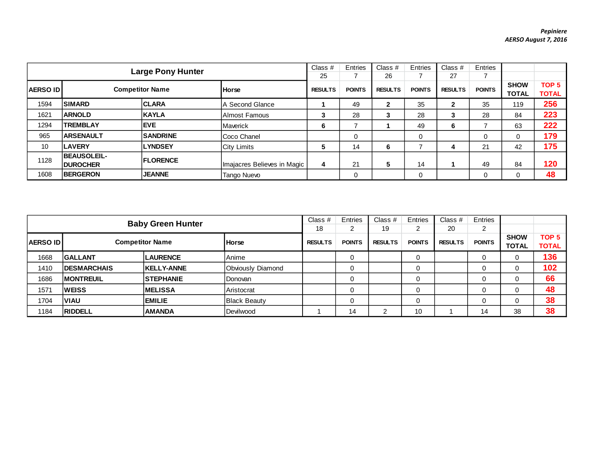| Class $#$<br><b>Large Pony Hunter</b> |                                        |                        |                             |                | Entries       | Class $#$      | Entries       | Class #        | Entries       |                             |                                  |
|---------------------------------------|----------------------------------------|------------------------|-----------------------------|----------------|---------------|----------------|---------------|----------------|---------------|-----------------------------|----------------------------------|
|                                       |                                        |                        |                             |                |               | 26             |               | 27             |               |                             |                                  |
| <b>AERSO IDI</b>                      |                                        | <b>Competitor Name</b> | <b>Horse</b>                | <b>RESULTS</b> | <b>POINTS</b> | <b>RESULTS</b> | <b>POINTS</b> | <b>RESULTS</b> | <b>POINTS</b> | <b>SHOW</b><br><b>TOTAL</b> | TOP <sub>5</sub><br><b>TOTAL</b> |
| 1594                                  | <b>SIMARD</b>                          | <b>ICLARA</b>          | IA Second Glance            |                | 49            | 2              | 35            | 2              | 35            | 119                         | 256                              |
| 1621                                  | <b>ARNOLD</b>                          | KAYLA                  | Almost Famous               | з              | 28            | Ĵ              | 28            | 3              | 28            | 84                          | 223                              |
| 1294                                  | <b>TREMBLAY</b>                        | <b>IEVE</b>            | <b>Maverick</b>             | 6              |               |                | 49            | 6              |               | 63                          | 222                              |
| 965                                   | <b>ARSENAULT</b>                       | <b>SANDRINE</b>        | Coco Chanel                 |                | 0             |                | 0             |                | 0             | 0                           | 179                              |
| 10                                    | <b>LAVERY</b>                          | <b>LYNDSEY</b>         | <b>City Limits</b>          | 5              | 14            | 6              |               | 4              | 21            | 42                          | 175                              |
| 1128                                  | <b>BEAUSOLEIL-</b><br><b>IDUROCHER</b> | <b>IFLORENCE</b>       | Imajacres Believes in Magic | 4              | 21            | 5              | 14            |                | 49            | 84                          | 120                              |
| 1608                                  | <b>BERGERON</b>                        | <b>JEANNE</b>          | Tango Nuevo                 |                | 0             |                | 0             |                |               | 0                           | 48                               |

| <b>Baby Green Hunter</b>                   |                     |                   |                          | Class $#$     | Entries        | Class $#$     | Entries        | Class $#$     | Entries                     |                                  |     |
|--------------------------------------------|---------------------|-------------------|--------------------------|---------------|----------------|---------------|----------------|---------------|-----------------------------|----------------------------------|-----|
|                                            |                     |                   |                          |               | ົ              | 19            | າ              | 20            | 2                           |                                  |     |
| <b>Competitor Name</b><br><b>AERSO IDI</b> |                     | <b>I</b> Horse    | <b>RESULTS</b>           | <b>POINTS</b> | <b>RESULTS</b> | <b>POINTS</b> | <b>RESULTS</b> | <b>POINTS</b> | <b>SHOW</b><br><b>TOTAL</b> | TOP <sub>5</sub><br><b>TOTAL</b> |     |
| 1668                                       | <b>GALLANT</b>      | <b>LAURENCE</b>   | Anime                    |               |                |               | 0              |               | 0                           |                                  | 136 |
| 1410                                       | <b>IDESMARCHAIS</b> | <b>KELLY-ANNE</b> | <b>Obviously Diamond</b> |               |                |               | 0              |               | 0                           |                                  | 102 |
| 1686                                       | <b>IMONTREUIL</b>   | <b>STEPHANIE</b>  | Donovan                  |               |                |               | 0              |               | 0                           |                                  | 66  |
| 1571                                       | <b>WEISS</b>        | <b>IMELISSA</b>   | Aristocrat               |               |                |               | 0              |               | 0                           |                                  | 48  |
| 1704                                       | <b>VIAU</b>         | <b>EMILIE</b>     | <b>Black Beauty</b>      |               |                |               | 0              |               | 0                           |                                  | 38  |
| 1184                                       | <b>RIDDELL</b>      | <b>AMANDA</b>     | Devilwood                |               | 14             | ົ             | 10             |               | 14                          | 38                               | 38  |